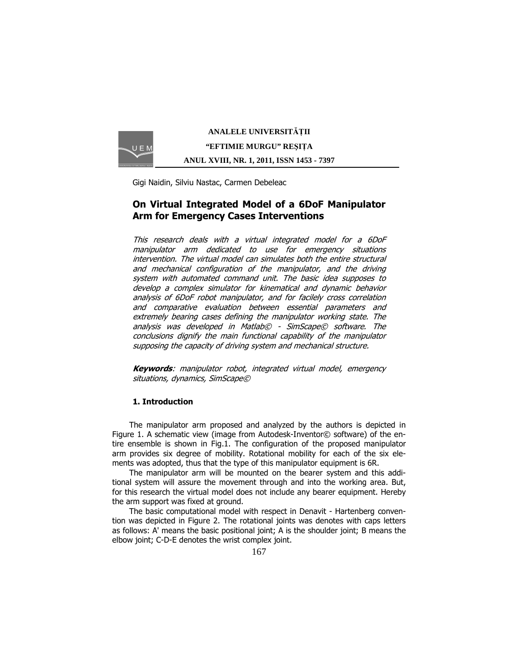

**ANALELE UNIVERSIT**Ăł**II "EFTIMIE MURGU" RE**Ş**I**ł**A ANUL XVIII, NR. 1, 2011, ISSN 1453 - 7397** 

Gigi Naidin, Silviu Nastac, Carmen Debeleac

# On Virtual Integrated Model of a 6DoF Manipulator Arm for Emergency Cases Interventions

This research deals with a virtual integrated model for a 6DoF manipulator arm dedicated to use for emergency situations intervention. The virtual model can simulates both the entire structural and mechanical configuration of the manipulator, and the driving system with automated command unit. The basic idea supposes to develop a complex simulator for kinematical and dynamic behavior analysis of 6DoF robot manipulator, and for facilely cross correlation and comparative evaluation between essential parameters and extremely bearing cases defining the manipulator working state. The analysis was developed in Matlab© - SimScape© software. The conclusions dignify the main functional capability of the manipulator supposing the capacity of driving system and mechanical structure.

**Keywords:** manipulator robot, integrated virtual model, emergency situations, dynamics, SimScape©

## 1. Introduction

The manipulator arm proposed and analyzed by the authors is depicted in Figure 1. A schematic view (image from Autodesk-Inventor© software) of the entire ensemble is shown in Fig.1. The configuration of the proposed manipulator arm provides six degree of mobility. Rotational mobility for each of the six elements was adopted, thus that the type of this manipulator equipment is 6R.

The manipulator arm will be mounted on the bearer system and this additional system will assure the movement through and into the working area. But, for this research the virtual model does not include any bearer equipment. Hereby the arm support was fixed at ground.

The basic computational model with respect in Denavit - Hartenberg convention was depicted in Figure 2. The rotational joints was denotes with caps letters as follows: A' means the basic positional joint; A is the shoulder joint; B means the elbow joint; C-D-E denotes the wrist complex joint.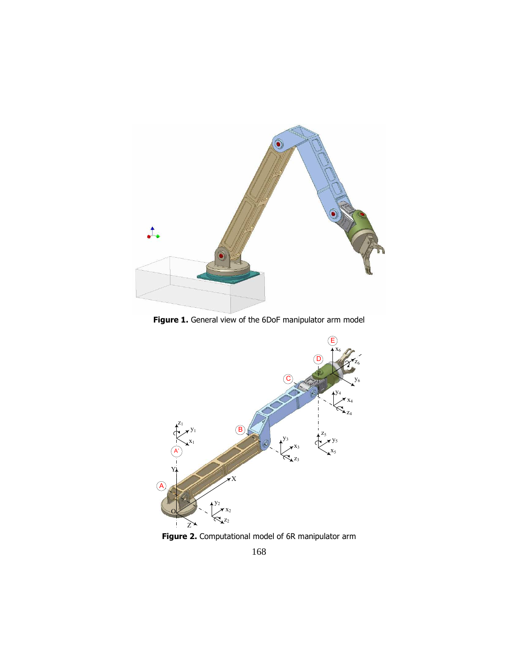

Figure 1. General view of the 6DoF manipulator arm model



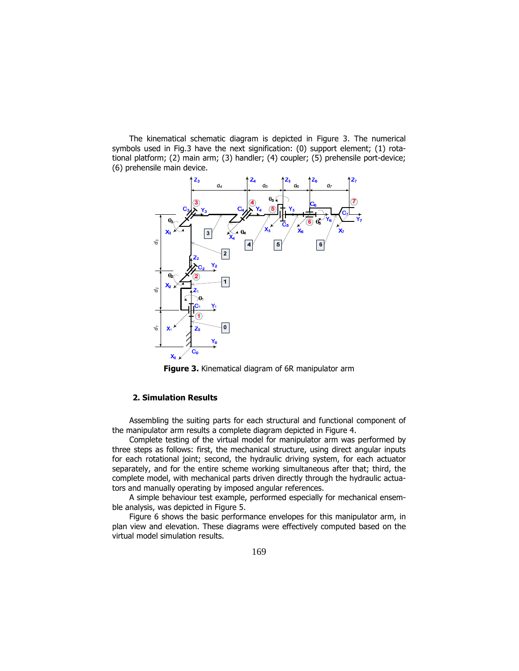The kinematical schematic diagram is depicted in Figure 3. The numerical symbols used in Fig.3 have the next signification: (0) support element; (1) rotational platform; (2) main arm; (3) handler; (4) coupler; (5) prehensile port-device; (6) prehensile main device.



**Figure 3.** Kinematical diagram of 6R manipulator arm

## 2. Simulation Results

Assembling the suiting parts for each structural and functional component of the manipulator arm results a complete diagram depicted in Figure 4.

Complete testing of the virtual model for manipulator arm was performed by three steps as follows: first, the mechanical structure, using direct angular inputs for each rotational joint; second, the hydraulic driving system, for each actuator separately, and for the entire scheme working simultaneous after that; third, the complete model, with mechanical parts driven directly through the hydraulic actuators and manually operating by imposed angular references.

A simple behaviour test example, performed especially for mechanical ensemble analysis, was depicted in Figure 5.

Figure 6 shows the basic performance envelopes for this manipulator arm, in plan view and elevation. These diagrams were effectively computed based on the virtual model simulation results.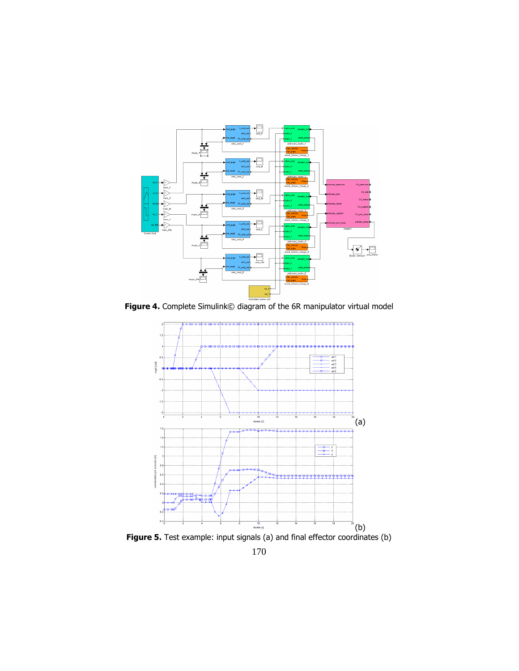

Figure 4. Complete Simulink© diagram of the 6R manipulator virtual model



170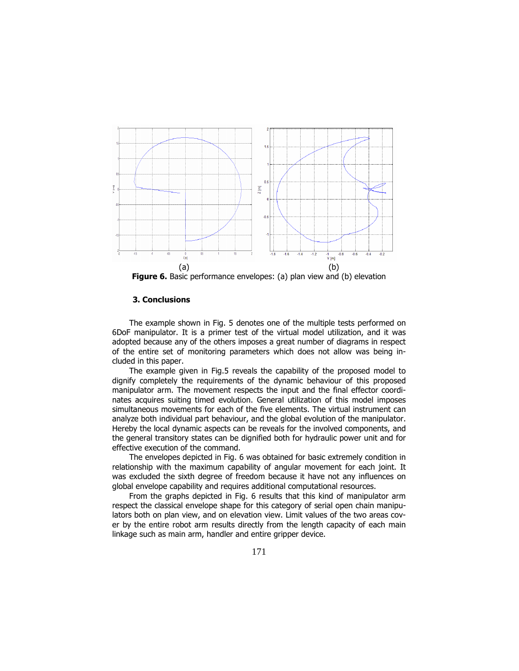

Figure 6. Basic performance envelopes: (a) plan view and (b) elevation

### 3. Conclusions

The example shown in Fig. 5 denotes one of the multiple tests performed on 6DoF manipulator. It is a primer test of the virtual model utilization, and it was adopted because any of the others imposes a great number of diagrams in respect of the entire set of monitoring parameters which does not allow was being included in this paper.

The example given in Fig.5 reveals the capability of the proposed model to dignify completely the requirements of the dynamic behaviour of this proposed manipulator arm. The movement respects the input and the final effector coordinates acquires suiting timed evolution. General utilization of this model imposes simultaneous movements for each of the five elements. The virtual instrument can analyze both individual part behaviour, and the global evolution of the manipulator. Hereby the local dynamic aspects can be reveals for the involved components, and the general transitory states can be dignified both for hydraulic power unit and for effective execution of the command.

The envelopes depicted in Fig. 6 was obtained for basic extremely condition in relationship with the maximum capability of angular movement for each joint. It was excluded the sixth degree of freedom because it have not any influences on global envelope capability and requires additional computational resources.

From the graphs depicted in Fig. 6 results that this kind of manipulator arm respect the classical envelope shape for this category of serial open chain manipulators both on plan view, and on elevation view. Limit values of the two areas cover by the entire robot arm results directly from the length capacity of each main linkage such as main arm, handler and entire gripper device.